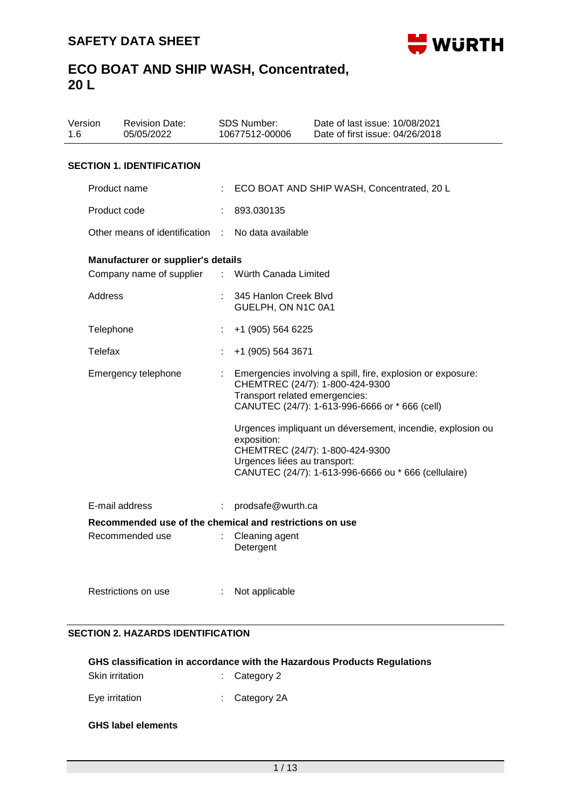

| 1.6 | Version                                                 | <b>Revision Date:</b><br>05/05/2022 |                | SDS Number:<br>10677512-00006                                                 | Date of last issue: 10/08/2021<br>Date of first issue: 04/26/2018                                                                                                                                                                                 |  |  |
|-----|---------------------------------------------------------|-------------------------------------|----------------|-------------------------------------------------------------------------------|---------------------------------------------------------------------------------------------------------------------------------------------------------------------------------------------------------------------------------------------------|--|--|
|     |                                                         | <b>SECTION 1. IDENTIFICATION</b>    |                |                                                                               |                                                                                                                                                                                                                                                   |  |  |
|     | Product name                                            |                                     |                | ECO BOAT AND SHIP WASH, Concentrated, 20 L                                    |                                                                                                                                                                                                                                                   |  |  |
|     | Product code                                            |                                     | ÷              | 893.030135                                                                    |                                                                                                                                                                                                                                                   |  |  |
|     |                                                         | Other means of identification       |                | No data available                                                             |                                                                                                                                                                                                                                                   |  |  |
|     |                                                         | Manufacturer or supplier's details  |                |                                                                               |                                                                                                                                                                                                                                                   |  |  |
|     |                                                         | Company name of supplier            | $\mathbb{R}^n$ | Würth Canada Limited                                                          |                                                                                                                                                                                                                                                   |  |  |
|     | Address                                                 |                                     |                | 345 Hanlon Creek Blvd<br>GUELPH, ON N1C 0A1                                   |                                                                                                                                                                                                                                                   |  |  |
|     | Telephone                                               |                                     | ÷              | +1 (905) 564 6225                                                             |                                                                                                                                                                                                                                                   |  |  |
|     | Telefax                                                 |                                     | t              | +1 (905) 564 3671                                                             |                                                                                                                                                                                                                                                   |  |  |
|     |                                                         | Emergency telephone                 |                | Transport related emergencies:<br>exposition:<br>Urgences liées au transport: | Emergencies involving a spill, fire, explosion or exposure:<br>CHEMTREC (24/7): 1-800-424-9300<br>CANUTEC (24/7): 1-613-996-6666 or * 666 (cell)<br>Urgences impliquant un déversement, incendie, explosion ou<br>CHEMTREC (24/7): 1-800-424-9300 |  |  |
|     |                                                         |                                     |                |                                                                               | CANUTEC (24/7): 1-613-996-6666 ou * 666 (cellulaire)                                                                                                                                                                                              |  |  |
|     |                                                         | E-mail address                      | ÷              | prodsafe@wurth.ca                                                             |                                                                                                                                                                                                                                                   |  |  |
|     | Recommended use of the chemical and restrictions on use |                                     |                |                                                                               |                                                                                                                                                                                                                                                   |  |  |
|     |                                                         | Recommended use                     |                | Cleaning agent<br>Detergent                                                   |                                                                                                                                                                                                                                                   |  |  |
|     |                                                         | Restrictions on use                 | t.             | Not applicable                                                                |                                                                                                                                                                                                                                                   |  |  |

### **SECTION 2. HAZARDS IDENTIFICATION**

|                 | GHS classification in accordance with the Hazardous Products Regulations |
|-----------------|--------------------------------------------------------------------------|
| Skin irritation | $\therefore$ Category 2                                                  |

Eye irritation : Category 2A

### **GHS label elements**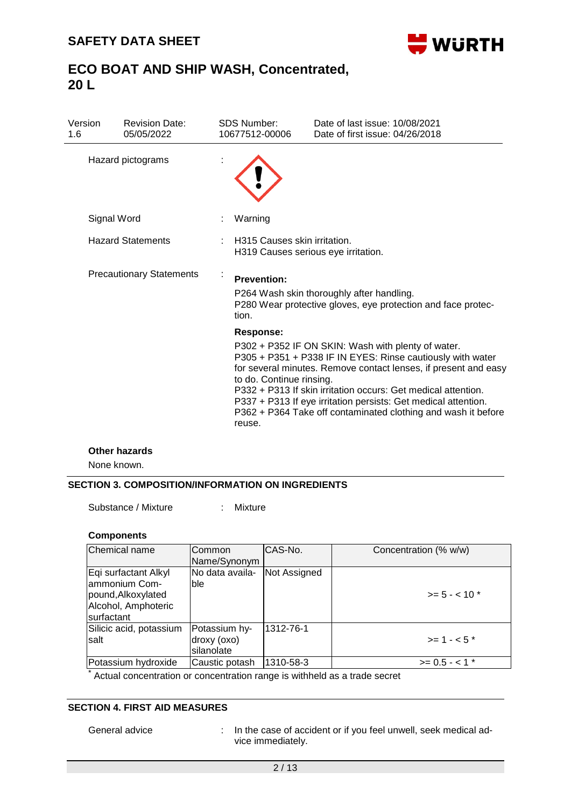

| Version<br>1.6 | <b>Revision Date:</b><br>05/05/2022 |  | <b>SDS Number:</b><br>10677512-00006                                | Date of last issue: 10/08/2021<br>Date of first issue: 04/26/2018                                                                                                                                                                                                                                                                                                                       |  |
|----------------|-------------------------------------|--|---------------------------------------------------------------------|-----------------------------------------------------------------------------------------------------------------------------------------------------------------------------------------------------------------------------------------------------------------------------------------------------------------------------------------------------------------------------------------|--|
|                | Hazard pictograms                   |  |                                                                     |                                                                                                                                                                                                                                                                                                                                                                                         |  |
|                | Signal Word                         |  | Warning                                                             |                                                                                                                                                                                                                                                                                                                                                                                         |  |
|                | <b>Hazard Statements</b>            |  | H315 Causes skin irritation.<br>H319 Causes serious eye irritation. |                                                                                                                                                                                                                                                                                                                                                                                         |  |
|                | <b>Precautionary Statements</b>     |  | <b>Prevention:</b><br>tion.                                         | P264 Wash skin thoroughly after handling.<br>P280 Wear protective gloves, eye protection and face protec-                                                                                                                                                                                                                                                                               |  |
|                |                                     |  | <b>Response:</b><br>to do. Continue rinsing.<br>reuse.              | P302 + P352 IF ON SKIN: Wash with plenty of water.<br>P305 + P351 + P338 IF IN EYES: Rinse cautiously with water<br>for several minutes. Remove contact lenses, if present and easy<br>P332 + P313 If skin irritation occurs: Get medical attention.<br>P337 + P313 If eye irritation persists: Get medical attention.<br>P362 + P364 Take off contaminated clothing and wash it before |  |
|                | <b>Other hazards</b><br>None known. |  |                                                                     |                                                                                                                                                                                                                                                                                                                                                                                         |  |
|                |                                     |  |                                                                     |                                                                                                                                                                                                                                                                                                                                                                                         |  |

#### **SECTION 3. COMPOSITION/INFORMATION ON INGREDIENTS**

Substance / Mixture : Mixture

#### **Components**

| Chemical name                                                                                     | <b>Common</b><br>Name/Synonym              | CAS-No.      | Concentration (% w/w) |
|---------------------------------------------------------------------------------------------------|--------------------------------------------|--------------|-----------------------|
| Eqi surfactant Alkyl<br>Jammonium Com-<br>pound, Alkoxylated<br>Alcohol, Amphoteric<br>surfactant | No data availa-<br>lble                    | Not Assigned | $>= 5 - < 10$ *       |
| Silicic acid, potassium<br>Isalt                                                                  | Potassium hy-<br>droxy (oxo)<br>silanolate | 1312-76-1    | $> = 1 - 5$ *         |
| Potassium hydroxide                                                                               | Caustic potash                             | 1310-58-3    | $>= 0.5 - 1$ *        |

Actual concentration or concentration range is withheld as a trade secret

### **SECTION 4. FIRST AID MEASURES**

General advice : In the case of accident or if you feel unwell, seek medical advice immediately.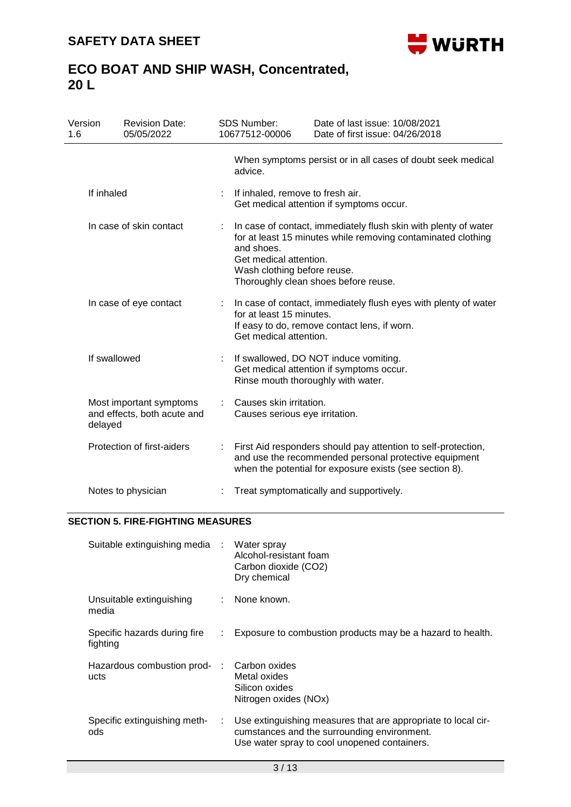

| Version<br>1.6 |                         | <b>Revision Date:</b><br>05/05/2022                    | <b>SDS Number:</b><br>10677512-00006                                                                                                                                                                                                           | Date of last issue: 10/08/2021<br>Date of first issue: 04/26/2018                                                                                                                 |  |  |  |
|----------------|-------------------------|--------------------------------------------------------|------------------------------------------------------------------------------------------------------------------------------------------------------------------------------------------------------------------------------------------------|-----------------------------------------------------------------------------------------------------------------------------------------------------------------------------------|--|--|--|
|                |                         |                                                        | advice.                                                                                                                                                                                                                                        | When symptoms persist or in all cases of doubt seek medical                                                                                                                       |  |  |  |
|                | If inhaled              |                                                        | If inhaled, remove to fresh air.<br>Get medical attention if symptoms occur.                                                                                                                                                                   |                                                                                                                                                                                   |  |  |  |
|                | In case of skin contact |                                                        | In case of contact, immediately flush skin with plenty of water<br>for at least 15 minutes while removing contaminated clothing<br>and shoes.<br>Get medical attention.<br>Wash clothing before reuse.<br>Thoroughly clean shoes before reuse. |                                                                                                                                                                                   |  |  |  |
|                | In case of eye contact  |                                                        | In case of contact, immediately flush eyes with plenty of water<br>for at least 15 minutes.<br>If easy to do, remove contact lens, if worn.<br>Get medical attention.                                                                          |                                                                                                                                                                                   |  |  |  |
|                | If swallowed            |                                                        | If swallowed, DO NOT induce vomiting.<br>Get medical attention if symptoms occur.<br>Rinse mouth thoroughly with water.                                                                                                                        |                                                                                                                                                                                   |  |  |  |
|                | delayed                 | Most important symptoms<br>and effects, both acute and | Causes skin irritation.<br>Causes serious eye irritation.                                                                                                                                                                                      |                                                                                                                                                                                   |  |  |  |
|                |                         | Protection of first-aiders                             |                                                                                                                                                                                                                                                | First Aid responders should pay attention to self-protection,<br>and use the recommended personal protective equipment<br>when the potential for exposure exists (see section 8). |  |  |  |
|                |                         | Notes to physician                                     |                                                                                                                                                                                                                                                | Treat symptomatically and supportively.                                                                                                                                           |  |  |  |

### **SECTION 5. FIRE-FIGHTING MEASURES**

| Suitable extinguishing media : Water spray |    | Alcohol-resistant foam<br>Carbon dioxide (CO2)<br>Dry chemical                                                                                               |
|--------------------------------------------|----|--------------------------------------------------------------------------------------------------------------------------------------------------------------|
| Unsuitable extinguishing<br>media          |    | : None known.                                                                                                                                                |
| Specific hazards during fire<br>fighting   | ÷. | Exposure to combustion products may be a hazard to health.                                                                                                   |
| Hazardous combustion prod-<br>ucts         |    | Carbon oxides<br>Metal oxides<br>Silicon oxides<br>Nitrogen oxides (NOx)                                                                                     |
| Specific extinguishing meth-<br>ods        | ÷. | Use extinguishing measures that are appropriate to local cir-<br>cumstances and the surrounding environment.<br>Use water spray to cool unopened containers. |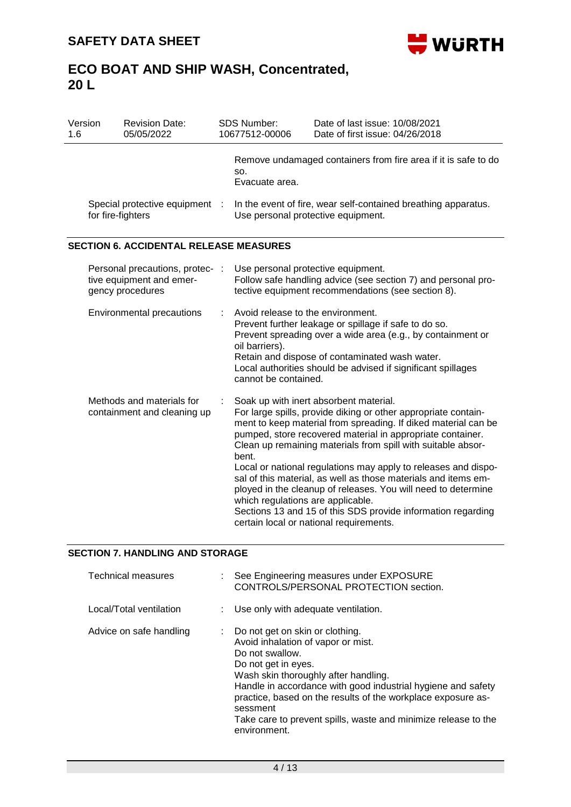

| Version<br>1.6                                           |                                                   | <b>Revision Date:</b><br>05/05/2022                                             |                                            | SDS Number:<br>10677512-00006                                                                                                                                                                                                                                                                                                                                                                                                                                                                                                                                                                                            | Date of last issue: 10/08/2021<br>Date of first issue: 04/26/2018                                                   |  |
|----------------------------------------------------------|---------------------------------------------------|---------------------------------------------------------------------------------|--------------------------------------------|--------------------------------------------------------------------------------------------------------------------------------------------------------------------------------------------------------------------------------------------------------------------------------------------------------------------------------------------------------------------------------------------------------------------------------------------------------------------------------------------------------------------------------------------------------------------------------------------------------------------------|---------------------------------------------------------------------------------------------------------------------|--|
|                                                          |                                                   |                                                                                 |                                            | SO.<br>Evacuate area.                                                                                                                                                                                                                                                                                                                                                                                                                                                                                                                                                                                                    | Remove undamaged containers from fire area if it is safe to do                                                      |  |
|                                                          | Special protective equipment<br>for fire-fighters |                                                                                 |                                            | In the event of fire, wear self-contained breathing apparatus.<br>Use personal protective equipment.                                                                                                                                                                                                                                                                                                                                                                                                                                                                                                                     |                                                                                                                     |  |
|                                                          |                                                   | <b>SECTION 6. ACCIDENTAL RELEASE MEASURES</b>                                   |                                            |                                                                                                                                                                                                                                                                                                                                                                                                                                                                                                                                                                                                                          |                                                                                                                     |  |
|                                                          |                                                   | Personal precautions, protec- :<br>tive equipment and emer-<br>gency procedures |                                            | Use personal protective equipment.                                                                                                                                                                                                                                                                                                                                                                                                                                                                                                                                                                                       | Follow safe handling advice (see section 7) and personal pro-<br>tective equipment recommendations (see section 8). |  |
|                                                          | <b>Environmental precautions</b>                  |                                                                                 |                                            | Avoid release to the environment.<br>Prevent further leakage or spillage if safe to do so.<br>Prevent spreading over a wide area (e.g., by containment or<br>oil barriers).<br>Retain and dispose of contaminated wash water.<br>Local authorities should be advised if significant spillages<br>cannot be contained.                                                                                                                                                                                                                                                                                                    |                                                                                                                     |  |
| Methods and materials for<br>containment and cleaning up |                                                   |                                                                                 | bent.<br>which regulations are applicable. | Soak up with inert absorbent material.<br>For large spills, provide diking or other appropriate contain-<br>ment to keep material from spreading. If diked material can be<br>pumped, store recovered material in appropriate container.<br>Clean up remaining materials from spill with suitable absor-<br>Local or national regulations may apply to releases and dispo-<br>sal of this material, as well as those materials and items em-<br>ployed in the cleanup of releases. You will need to determine<br>Sections 13 and 15 of this SDS provide information regarding<br>certain local or national requirements. |                                                                                                                     |  |

### **SECTION 7. HANDLING AND STORAGE**

| Technical measures      | : See Engineering measures under EXPOSURE<br>CONTROLS/PERSONAL PROTECTION section.                                                                                                                                                                                                                                                                                                                 |  |  |
|-------------------------|----------------------------------------------------------------------------------------------------------------------------------------------------------------------------------------------------------------------------------------------------------------------------------------------------------------------------------------------------------------------------------------------------|--|--|
| Local/Total ventilation | : Use only with adequate ventilation.                                                                                                                                                                                                                                                                                                                                                              |  |  |
| Advice on safe handling | $\therefore$ Do not get on skin or clothing.<br>Avoid inhalation of vapor or mist.<br>Do not swallow.<br>Do not get in eyes.<br>Wash skin thoroughly after handling.<br>Handle in accordance with good industrial hygiene and safety<br>practice, based on the results of the workplace exposure as-<br>sessment<br>Take care to prevent spills, waste and minimize release to the<br>environment. |  |  |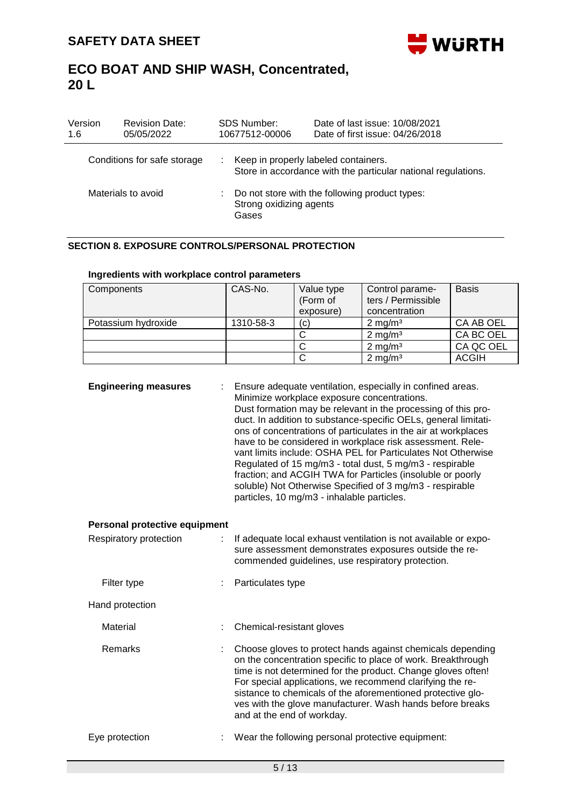

| Version<br>1.6     | <b>Revision Date:</b><br>05/05/2022 | <b>SDS Number:</b><br>10677512-00006                                                 | Date of last issue: 10/08/2021<br>Date of first issue: 04/26/2018                                       |  |
|--------------------|-------------------------------------|--------------------------------------------------------------------------------------|---------------------------------------------------------------------------------------------------------|--|
|                    | Conditions for safe storage         |                                                                                      | : Keep in properly labeled containers.<br>Store in accordance with the particular national regulations. |  |
| Materials to avoid |                                     | : Do not store with the following product types:<br>Strong oxidizing agents<br>Gases |                                                                                                         |  |

#### **SECTION 8. EXPOSURE CONTROLS/PERSONAL PROTECTION**

| Components          | CAS-No.   | Value type        | Control parame-    | <b>Basis</b> |
|---------------------|-----------|-------------------|--------------------|--------------|
|                     |           | (Form of          | ters / Permissible |              |
|                     |           | exposure)         | concentration      |              |
| Potassium hydroxide | 1310-58-3 | $\left( c\right)$ | $2 \text{ mg/m}^3$ | CA AB OEL    |
|                     |           |                   | $2 \text{ mg/m}^3$ | CA BC OEL    |
|                     |           |                   | $2 \text{ mg/m}^3$ | CA QC OEL    |
|                     |           |                   | $2 \text{ mg/m}^3$ | <b>ACGIH</b> |

### **Ingredients with workplace control parameters**

| <b>Engineering measures</b>   |  | Ensure adequate ventilation, especially in confined areas.<br>Minimize workplace exposure concentrations.<br>Dust formation may be relevant in the processing of this pro-<br>duct. In addition to substance-specific OELs, general limitati-<br>ons of concentrations of particulates in the air at workplaces<br>have to be considered in workplace risk assessment. Rele-<br>vant limits include: OSHA PEL for Particulates Not Otherwise<br>Regulated of 15 mg/m3 - total dust, 5 mg/m3 - respirable<br>fraction; and ACGIH TWA for Particles (insoluble or poorly<br>soluble) Not Otherwise Specified of 3 mg/m3 - respirable<br>particles, 10 mg/m3 - inhalable particles. |  |
|-------------------------------|--|----------------------------------------------------------------------------------------------------------------------------------------------------------------------------------------------------------------------------------------------------------------------------------------------------------------------------------------------------------------------------------------------------------------------------------------------------------------------------------------------------------------------------------------------------------------------------------------------------------------------------------------------------------------------------------|--|
| Personal protective equipment |  |                                                                                                                                                                                                                                                                                                                                                                                                                                                                                                                                                                                                                                                                                  |  |
| Respiratory protection<br>÷.  |  | If adequate local exhaust ventilation is not available or expo-<br>sure assessment demonstrates exposures outside the re-<br>commended guidelines, use respiratory protection.                                                                                                                                                                                                                                                                                                                                                                                                                                                                                                   |  |
| Filter type                   |  | Particulates type                                                                                                                                                                                                                                                                                                                                                                                                                                                                                                                                                                                                                                                                |  |
| Hand protection               |  |                                                                                                                                                                                                                                                                                                                                                                                                                                                                                                                                                                                                                                                                                  |  |
| Material                      |  | Chemical-resistant gloves                                                                                                                                                                                                                                                                                                                                                                                                                                                                                                                                                                                                                                                        |  |
| <b>Remarks</b>                |  | Choose gloves to protect hands against chemicals depending<br>on the concentration specific to place of work. Breakthrough<br>time is not determined for the product. Change gloves often!<br>For special applications, we recommend clarifying the re-<br>sistance to chemicals of the aforementioned protective glo-<br>ves with the glove manufacturer. Wash hands before breaks<br>and at the end of workday.                                                                                                                                                                                                                                                                |  |
| Eye protection                |  | Wear the following personal protective equipment:                                                                                                                                                                                                                                                                                                                                                                                                                                                                                                                                                                                                                                |  |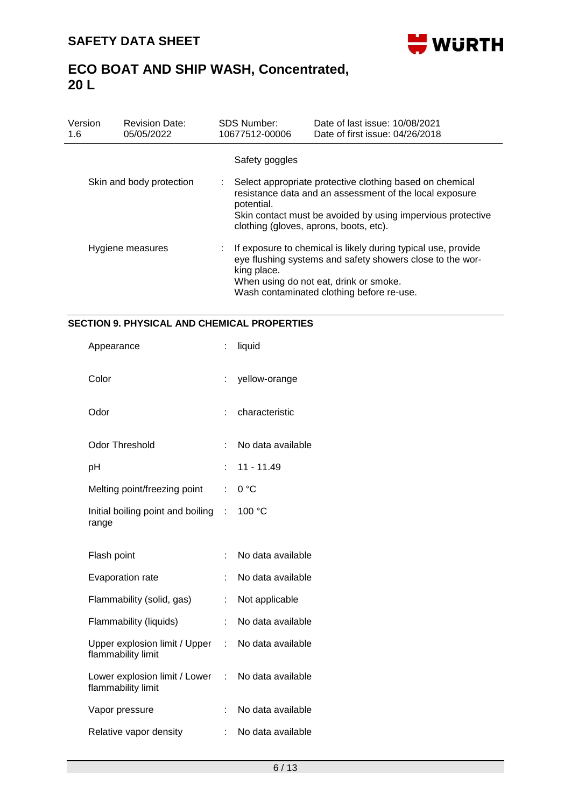

| Version<br>1.6           | <b>Revision Date:</b><br>05/05/2022 | <b>SDS Number:</b><br>10677512-00006                                                                                                                                                                                                       | Date of last issue: 10/08/2021<br>Date of first issue: 04/26/2018 |  |  |
|--------------------------|-------------------------------------|--------------------------------------------------------------------------------------------------------------------------------------------------------------------------------------------------------------------------------------------|-------------------------------------------------------------------|--|--|
|                          |                                     | Safety goggles                                                                                                                                                                                                                             |                                                                   |  |  |
| Skin and body protection |                                     | Select appropriate protective clothing based on chemical<br>resistance data and an assessment of the local exposure<br>potential.<br>Skin contact must be avoided by using impervious protective<br>clothing (gloves, aprons, boots, etc). |                                                                   |  |  |
| Hygiene measures         |                                     | If exposure to chemical is likely during typical use, provide<br>t.<br>eye flushing systems and safety showers close to the wor-<br>king place.<br>When using do not eat, drink or smoke.<br>Wash contaminated clothing before re-use.     |                                                                   |  |  |

### **SECTION 9. PHYSICAL AND CHEMICAL PROPERTIES**

| Appearance                                          | ÷  | liquid            |
|-----------------------------------------------------|----|-------------------|
| Color                                               | t. | yellow-orange     |
| Odor                                                | ÷  | characteristic    |
| <b>Odor Threshold</b>                               | ÷  | No data available |
| рH                                                  | t  | 11 - 11.49        |
| Melting point/freezing point                        | t. | 0 °C              |
| Initial boiling point and boiling<br>range          | t. | 100 °C            |
|                                                     |    |                   |
| Flash point                                         | t  | No data available |
| <b>Evaporation rate</b>                             | t  | No data available |
| Flammability (solid, gas)                           |    | Not applicable    |
| Flammability (liquids)                              | ÷  | No data available |
| Upper explosion limit / Upper<br>flammability limit | ÷  | No data available |
| Lower explosion limit / Lower<br>flammability limit | t. | No data available |
| Vapor pressure                                      | t  | No data available |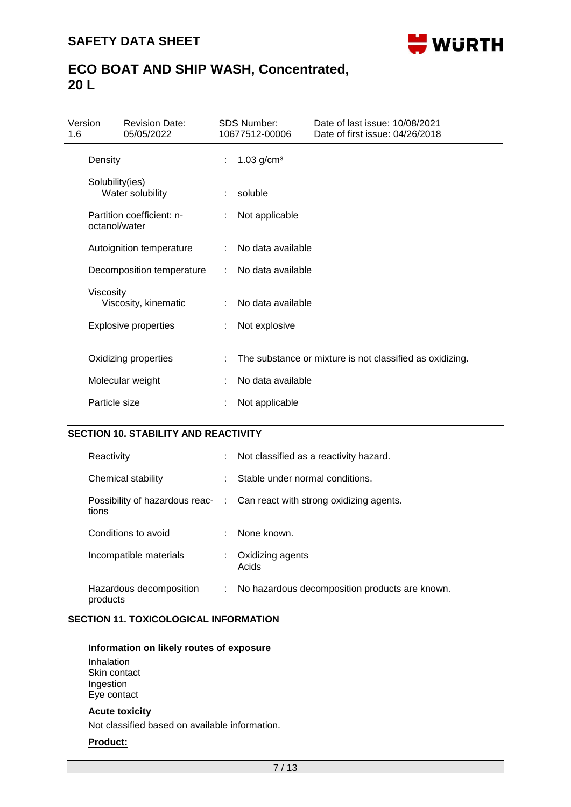

| Version<br>1.6 |                 | <b>Revision Date:</b><br>05/05/2022 |    | <b>SDS Number:</b><br>10677512-00006 | Date of last issue: 10/08/2021<br>Date of first issue: 04/26/2018 |  |
|----------------|-----------------|-------------------------------------|----|--------------------------------------|-------------------------------------------------------------------|--|
|                | Density         |                                     | ÷. | 1.03 $g/cm^{3}$                      |                                                                   |  |
|                | Solubility(ies) | Water solubility                    | ÷  | soluble                              |                                                                   |  |
|                | octanol/water   | Partition coefficient: n-           |    | Not applicable                       |                                                                   |  |
|                |                 | Autoignition temperature            | ÷  | No data available                    |                                                                   |  |
|                |                 | Decomposition temperature           |    | No data available                    |                                                                   |  |
|                | Viscosity       | Viscosity, kinematic                |    | No data available                    |                                                                   |  |
|                |                 | <b>Explosive properties</b>         | ÷  | Not explosive                        |                                                                   |  |
|                |                 | Oxidizing properties                |    |                                      | The substance or mixture is not classified as oxidizing.          |  |
|                |                 | Molecular weight                    |    | No data available                    |                                                                   |  |
|                | Particle size   |                                     |    | Not applicable                       |                                                                   |  |

#### **SECTION 10. STABILITY AND REACTIVITY**

| Reactivity                          | ÷. | Not classified as a reactivity hazard.                                   |
|-------------------------------------|----|--------------------------------------------------------------------------|
| Chemical stability                  |    | Stable under normal conditions.                                          |
| tions                               |    | Possibility of hazardous reac- : Can react with strong oxidizing agents. |
| Conditions to avoid                 |    | : None known.                                                            |
| Incompatible materials              |    | Oxidizing agents<br>Acids                                                |
| Hazardous decomposition<br>products | ÷. | No hazardous decomposition products are known.                           |

#### **SECTION 11. TOXICOLOGICAL INFORMATION**

#### **Information on likely routes of exposure**

Inhalation Skin contact Ingestion Eye contact

#### **Acute toxicity**

Not classified based on available information.

#### **Product:**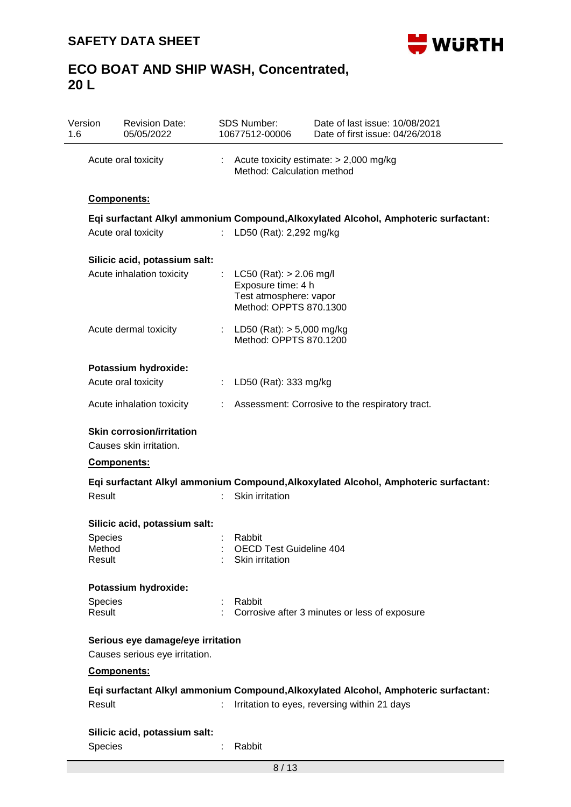

| Version<br>1.6   | <b>Revision Date:</b><br>05/05/2022                         |    | <b>SDS Number:</b><br>10677512-00006                                                                  | Date of last issue: 10/08/2021<br>Date of first issue: 04/26/2018                   |
|------------------|-------------------------------------------------------------|----|-------------------------------------------------------------------------------------------------------|-------------------------------------------------------------------------------------|
|                  | Acute oral toxicity<br><b>Components:</b>                   |    | Method: Calculation method                                                                            | Acute toxicity estimate: $> 2,000$ mg/kg                                            |
|                  |                                                             |    |                                                                                                       |                                                                                     |
|                  |                                                             |    |                                                                                                       | Eqi surfactant Alkyl ammonium Compound, Alkoxylated Alcohol, Amphoteric surfactant: |
|                  | Acute oral toxicity                                         |    | LD50 (Rat): 2,292 mg/kg                                                                               |                                                                                     |
|                  | Silicic acid, potassium salt:                               |    |                                                                                                       |                                                                                     |
|                  | Acute inhalation toxicity                                   | ÷  | $LC50$ (Rat): $> 2.06$ mg/l<br>Exposure time: 4 h<br>Test atmosphere: vapor<br>Method: OPPTS 870.1300 |                                                                                     |
|                  | Acute dermal toxicity                                       |    | : LD50 (Rat): $> 5,000$ mg/kg<br>Method: OPPTS 870.1200                                               |                                                                                     |
|                  | Potassium hydroxide:                                        |    |                                                                                                       |                                                                                     |
|                  | Acute oral toxicity                                         | ÷. | LD50 (Rat): 333 mg/kg                                                                                 |                                                                                     |
|                  | Acute inhalation toxicity                                   |    |                                                                                                       | Assessment: Corrosive to the respiratory tract.                                     |
|                  | <b>Skin corrosion/irritation</b><br>Causes skin irritation. |    |                                                                                                       |                                                                                     |
|                  | Components:                                                 |    |                                                                                                       |                                                                                     |
|                  |                                                             |    |                                                                                                       | Eqi surfactant Alkyl ammonium Compound, Alkoxylated Alcohol, Amphoteric surfactant: |
| Result           |                                                             |    | Skin irritation                                                                                       |                                                                                     |
|                  | Silicic acid, potassium salt:                               |    |                                                                                                       |                                                                                     |
| <b>Species</b>   |                                                             |    | Rabbit                                                                                                |                                                                                     |
| Method<br>Result |                                                             |    | OECD Test Guideline 404<br>Skin irritation                                                            |                                                                                     |
|                  | Potassium hydroxide:                                        |    |                                                                                                       |                                                                                     |
| <b>Species</b>   |                                                             |    | Rabbit                                                                                                |                                                                                     |
| Result           |                                                             |    |                                                                                                       | Corrosive after 3 minutes or less of exposure                                       |
|                  | Serious eye damage/eye irritation                           |    |                                                                                                       |                                                                                     |
|                  | Causes serious eye irritation.<br>Components:               |    |                                                                                                       |                                                                                     |
|                  |                                                             |    |                                                                                                       | Eqi surfactant Alkyl ammonium Compound, Alkoxylated Alcohol, Amphoteric surfactant: |
| Result           |                                                             |    |                                                                                                       | Irritation to eyes, reversing within 21 days                                        |
|                  | Silicic acid, potassium salt:                               |    |                                                                                                       |                                                                                     |
| <b>Species</b>   |                                                             | ÷  | Rabbit                                                                                                |                                                                                     |
|                  |                                                             |    | 8/13                                                                                                  |                                                                                     |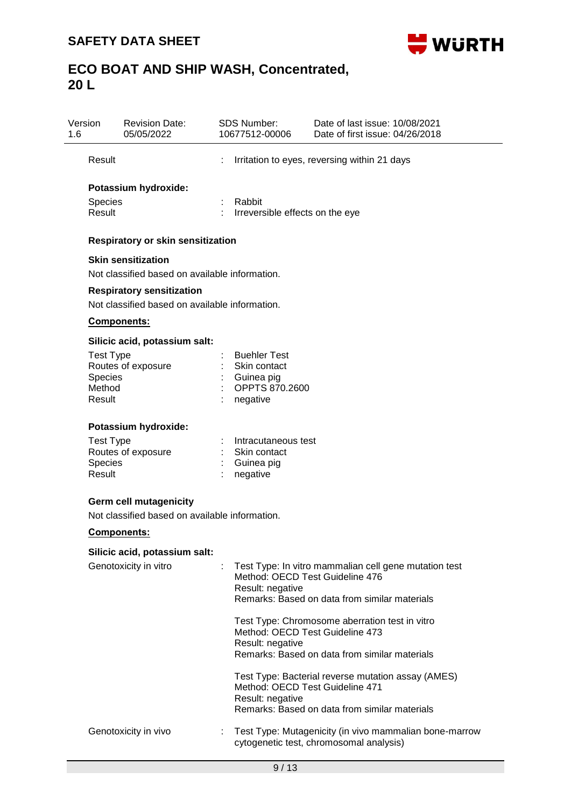

| Version<br>1.6           | <b>Revision Date:</b><br>05/05/2022                                                |    | <b>SDS Number:</b><br>10677512-00006      | Date of last issue: 10/08/2021<br>Date of first issue: 04/26/2018                                 |  |  |
|--------------------------|------------------------------------------------------------------------------------|----|-------------------------------------------|---------------------------------------------------------------------------------------------------|--|--|
| Result                   |                                                                                    |    |                                           | Irritation to eyes, reversing within 21 days                                                      |  |  |
| <b>Species</b><br>Result | Potassium hydroxide:                                                               | ÷  | Rabbit<br>Irreversible effects on the eye |                                                                                                   |  |  |
|                          |                                                                                    |    |                                           |                                                                                                   |  |  |
|                          | Respiratory or skin sensitization                                                  |    |                                           |                                                                                                   |  |  |
|                          | <b>Skin sensitization</b>                                                          |    |                                           |                                                                                                   |  |  |
|                          | Not classified based on available information.                                     |    |                                           |                                                                                                   |  |  |
|                          | <b>Respiratory sensitization</b><br>Not classified based on available information. |    |                                           |                                                                                                   |  |  |
|                          |                                                                                    |    |                                           |                                                                                                   |  |  |
|                          | Components:                                                                        |    |                                           |                                                                                                   |  |  |
|                          | Silicic acid, potassium salt:                                                      |    |                                           |                                                                                                   |  |  |
| <b>Test Type</b>         | Routes of exposure                                                                 |    | <b>Buehler Test</b><br>Skin contact       |                                                                                                   |  |  |
| Species                  |                                                                                    |    | Guinea pig                                |                                                                                                   |  |  |
| Method                   |                                                                                    |    | OPPTS 870.2600                            |                                                                                                   |  |  |
| Result                   |                                                                                    |    | negative                                  |                                                                                                   |  |  |
|                          | Potassium hydroxide:                                                               |    |                                           |                                                                                                   |  |  |
| <b>Test Type</b>         |                                                                                    |    | Intracutaneous test                       |                                                                                                   |  |  |
|                          | Routes of exposure                                                                 |    | Skin contact                              |                                                                                                   |  |  |
| <b>Species</b><br>Result |                                                                                    |    | Guinea pig<br>negative                    |                                                                                                   |  |  |
|                          |                                                                                    |    |                                           |                                                                                                   |  |  |
|                          | <b>Germ cell mutagenicity</b>                                                      |    |                                           |                                                                                                   |  |  |
|                          | Not classified based on available information.                                     |    |                                           |                                                                                                   |  |  |
|                          | Components:                                                                        |    |                                           |                                                                                                   |  |  |
|                          | Silicic acid, potassium salt:                                                      |    |                                           |                                                                                                   |  |  |
|                          | Genotoxicity in vitro                                                              | ÷. | Result: negative                          | Test Type: In vitro mammalian cell gene mutation test<br>Method: OECD Test Guideline 476          |  |  |
|                          |                                                                                    |    |                                           | Remarks: Based on data from similar materials                                                     |  |  |
|                          |                                                                                    |    |                                           | Test Type: Chromosome aberration test in vitro<br>Method: OECD Test Guideline 473                 |  |  |
|                          |                                                                                    |    | Result: negative                          | Remarks: Based on data from similar materials                                                     |  |  |
|                          |                                                                                    |    | Result: negative                          | Test Type: Bacterial reverse mutation assay (AMES)<br>Method: OECD Test Guideline 471             |  |  |
|                          |                                                                                    |    |                                           | Remarks: Based on data from similar materials                                                     |  |  |
|                          | Genotoxicity in vivo                                                               |    |                                           | Test Type: Mutagenicity (in vivo mammalian bone-marrow<br>cytogenetic test, chromosomal analysis) |  |  |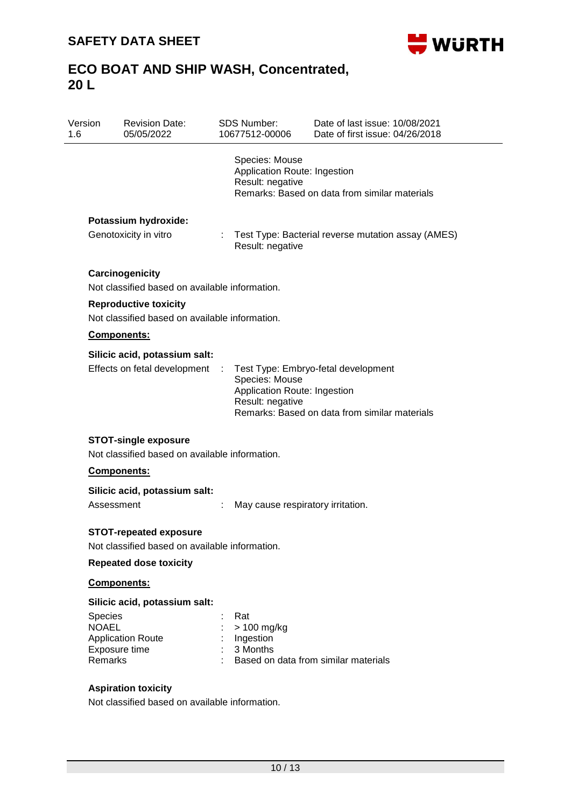

| <b>Revision Date:</b><br>05/05/2022                                            |                             | <b>SDS Number:</b><br>10677512-00006                               | Date of last issue: 10/08/2021<br>Date of first issue: 04/26/2018                    |
|--------------------------------------------------------------------------------|-----------------------------|--------------------------------------------------------------------|--------------------------------------------------------------------------------------|
|                                                                                |                             | Species: Mouse<br>Application Route: Ingestion<br>Result: negative | Remarks: Based on data from similar materials                                        |
| Potassium hydroxide:                                                           |                             |                                                                    |                                                                                      |
| Genotoxicity in vitro                                                          |                             | Result: negative                                                   | Test Type: Bacterial reverse mutation assay (AMES)                                   |
| Carcinogenicity                                                                |                             |                                                                    |                                                                                      |
| Not classified based on available information.                                 |                             |                                                                    |                                                                                      |
| <b>Reproductive toxicity</b><br>Not classified based on available information. |                             |                                                                    |                                                                                      |
|                                                                                |                             |                                                                    |                                                                                      |
| Components:                                                                    |                             |                                                                    |                                                                                      |
| Silicic acid, potassium salt:<br>Effects on fetal development                  | $\mathcal{L}^{\mathcal{L}}$ | Species: Mouse<br>Application Route: Ingestion<br>Result: negative | Test Type: Embryo-fetal development<br>Remarks: Based on data from similar materials |
|                                                                                |                             |                                                                    |                                                                                      |
| <b>STOT-single exposure</b>                                                    |                             |                                                                    |                                                                                      |
| Not classified based on available information.                                 |                             |                                                                    |                                                                                      |
| <b>Components:</b>                                                             |                             |                                                                    |                                                                                      |
| Silicic acid, potassium salt:<br>Assessment                                    |                             | May cause respiratory irritation.                                  |                                                                                      |
| <b>STOT-repeated exposure</b>                                                  |                             |                                                                    |                                                                                      |
| Not classified based on available information.                                 |                             |                                                                    |                                                                                      |
| <b>Repeated dose toxicity</b>                                                  |                             |                                                                    |                                                                                      |
| Components:                                                                    |                             |                                                                    |                                                                                      |
| Silicic acid, potassium salt:                                                  |                             |                                                                    |                                                                                      |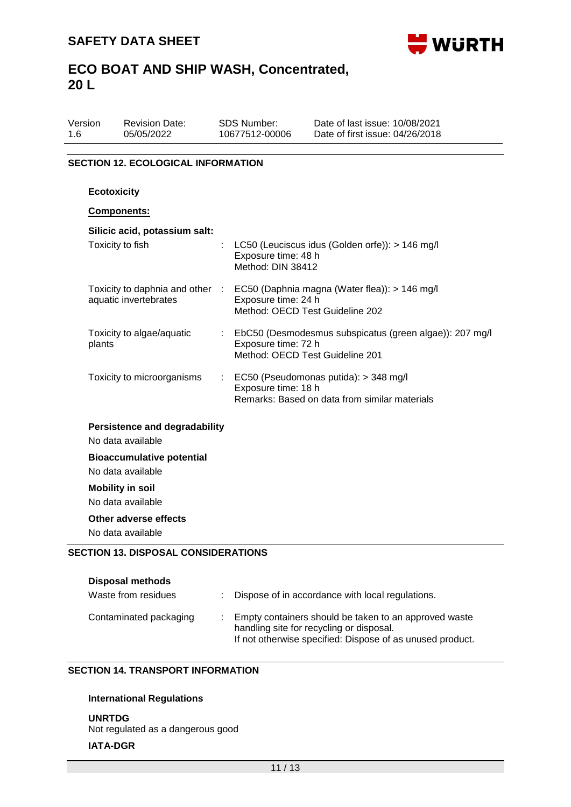

| Version | <b>Revision Date:</b> | SDS Number:    | Date of last issue: 10/08/2021  |
|---------|-----------------------|----------------|---------------------------------|
| 1.6     | 05/05/2022            | 10677512-00006 | Date of first issue: 04/26/2018 |
|         |                       |                |                                 |

### **SECTION 12. ECOLOGICAL INFORMATION**

| <b>Ecotoxicity</b>                                        |                                                                                                                   |
|-----------------------------------------------------------|-------------------------------------------------------------------------------------------------------------------|
| Components:                                               |                                                                                                                   |
| Silicic acid, potassium salt:<br>Toxicity to fish         | LC50 (Leuciscus idus (Golden orfe)): > 146 mg/l<br>Exposure time: 48 h<br>Method: DIN 38412                       |
| Toxicity to daphnia and other :<br>aquatic invertebrates  | EC50 (Daphnia magna (Water flea)): > 146 mg/l<br>Exposure time: 24 h<br>Method: OECD Test Guideline 202           |
| Toxicity to algae/aquatic<br>plants                       | EbC50 (Desmodesmus subspicatus (green algae)): 207 mg/l<br>Exposure time: 72 h<br>Method: OECD Test Guideline 201 |
| Toxicity to microorganisms                                | : EC50 (Pseudomonas putida): > 348 mg/l<br>Exposure time: 18 h<br>Remarks: Based on data from similar materials   |
| <b>Persistence and degradability</b><br>No data available |                                                                                                                   |
| <b>Bioaccumulative potential</b><br>No data available     |                                                                                                                   |
| <b>Mobility in soil</b><br>No data available              |                                                                                                                   |
| Other adverse effects<br>No data available                |                                                                                                                   |
| <b>SECTION 13. DISPOSAL CONSIDERATIONS</b>                |                                                                                                                   |
| <b>Disposal methods</b><br>Waste from residues            | Dispose of in accordance with local regulations.                                                                  |

| Contaminated packaging | : Empty containers should be taken to an approved waste<br>handling site for recycling or disposal. |
|------------------------|-----------------------------------------------------------------------------------------------------|
|                        | If not otherwise specified: Dispose of as unused product.                                           |

### **SECTION 14. TRANSPORT INFORMATION**

### **International Regulations**

**UNRTDG** Not regulated as a dangerous good **IATA-DGR**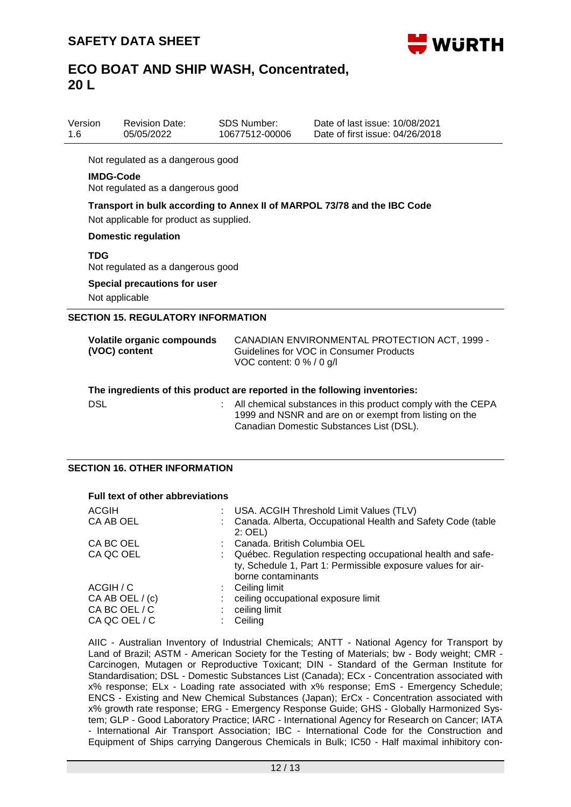

| Version<br>$1.6\,$ | <b>Revision Date:</b><br>05/05/2022                   | <b>SDS Number:</b><br>10677512-00006 | Date of last issue: 10/08/2021<br>Date of first issue: 04/26/2018                        |
|--------------------|-------------------------------------------------------|--------------------------------------|------------------------------------------------------------------------------------------|
|                    | Not regulated as a dangerous good                     |                                      |                                                                                          |
|                    | <b>IMDG-Code</b><br>Not regulated as a dangerous good |                                      |                                                                                          |
|                    | Not applicable for product as supplied.               |                                      | Transport in bulk according to Annex II of MARPOL 73/78 and the IBC Code                 |
|                    | <b>Domestic regulation</b>                            |                                      |                                                                                          |
| TDG                | Not regulated as a dangerous good                     |                                      |                                                                                          |
|                    | <b>Special precautions for user</b><br>Not applicable |                                      |                                                                                          |
|                    | <b>SECTION 15. REGULATORY INFORMATION</b>             |                                      |                                                                                          |
|                    | Volatile organic compounds<br>(VOC) content           | VOC content: 0 % / 0 g/l             | CANADIAN ENVIRONMENTAL PROTECTION ACT, 1999 -<br>Guidelines for VOC in Consumer Products |
|                    |                                                       |                                      | The ingredients of this product are reported in the following inventories:               |

| <b>DSL</b> | : All chemical substances in this product comply with the CEPA |
|------------|----------------------------------------------------------------|
|            | 1999 and NSNR and are on or exempt from listing on the         |
|            | Canadian Domestic Substances List (DSL).                       |

#### **SECTION 16. OTHER INFORMATION**

#### **Full text of other abbreviations**

| ACGIH           | : USA. ACGIH Threshold Limit Values (TLV)                                                                                                         |
|-----------------|---------------------------------------------------------------------------------------------------------------------------------------------------|
| CA AB OEL       | Canada. Alberta, Occupational Health and Safety Code (table<br>$2:$ OEL)                                                                          |
| CA BC OEL       | Canada, British Columbia OEL                                                                                                                      |
| CA QC OEL       | Québec. Regulation respecting occupational health and safe-<br>ty, Schedule 1, Part 1: Permissible exposure values for air-<br>borne contaminants |
| ACGIH / C       | $\therefore$ Ceiling limit                                                                                                                        |
| CA AB OEL / (c) | ceiling occupational exposure limit                                                                                                               |
| CA BC OEL / C   | ceiling limit                                                                                                                                     |
| CA QC OEL / C   | Ceiling                                                                                                                                           |

AIIC - Australian Inventory of Industrial Chemicals; ANTT - National Agency for Transport by Land of Brazil; ASTM - American Society for the Testing of Materials; bw - Body weight; CMR - Carcinogen, Mutagen or Reproductive Toxicant; DIN - Standard of the German Institute for Standardisation; DSL - Domestic Substances List (Canada); ECx - Concentration associated with x% response; ELx - Loading rate associated with x% response; EmS - Emergency Schedule; ENCS - Existing and New Chemical Substances (Japan); ErCx - Concentration associated with x% growth rate response; ERG - Emergency Response Guide; GHS - Globally Harmonized System; GLP - Good Laboratory Practice; IARC - International Agency for Research on Cancer; IATA - International Air Transport Association; IBC - International Code for the Construction and Equipment of Ships carrying Dangerous Chemicals in Bulk; IC50 - Half maximal inhibitory con-